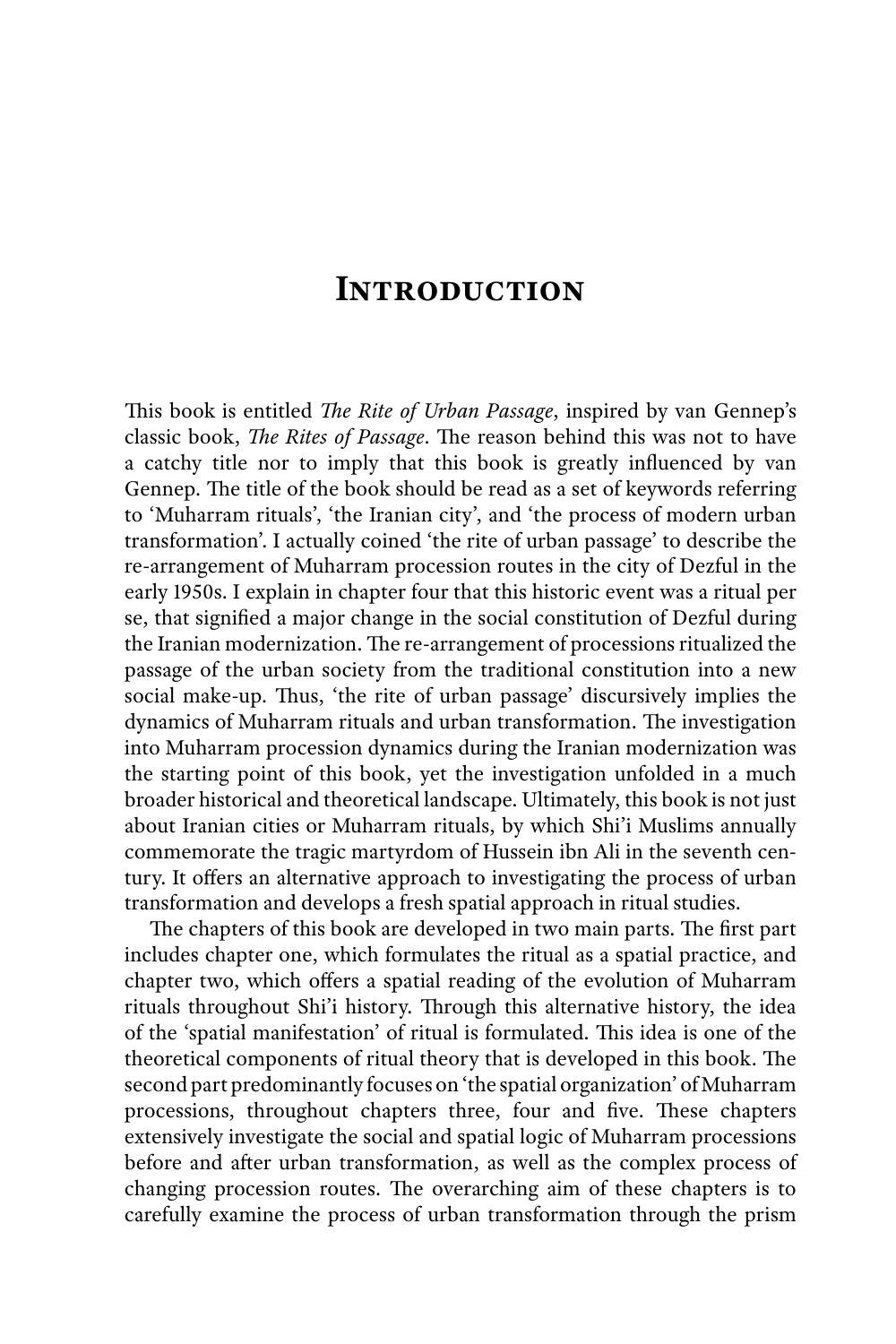## **Introduction**

This book is entitled *The Rite of Urban Passage*, inspired by van Gennep's classic book, *The Rites of Passage*. The reason behind this was not to have a catchy title nor to imply that this book is greatly influenced by van Gennep. The title of the book should be read as a set of keywords referring to 'Muharram rituals', 'the Iranian city', and 'the process of modern urban transformation'. I actually coined 'the rite of urban passage' to describe the re-arrangement of Muharram procession routes in the city of Dezful in the early 1950s. I explain in chapter four that this historic event was a ritual per se, that signified a major change in the social constitution of Dezful during the Iranian modernization. The re-arrangement of processions ritualized the passage of the urban society from the traditional constitution into a new social make-up. Thus, 'the rite of urban passage' discursively implies the dynamics of Muharram rituals and urban transformation. The investigation into Muharram procession dynamics during the Iranian modernization was the starting point of this book, yet the investigation unfolded in a much broader historical and theoretical landscape. Ultimately, this book is not just about Iranian cities or Muharram rituals, by which Shi'i Muslims annually commemorate the tragic martyrdom of Hussein ibn Ali in the seventh century. It offers an alternative approach to investigating the process of urban transformation and develops a fresh spatial approach in ritual studies.

The chapters of this book are developed in two main parts. The first part includes chapter one, which formulates the ritual as a spatial practice, and chapter two, which offers a spatial reading of the evolution of Muharram rituals throughout Shi'i history. Through this alternative history, the idea of the 'spatial manifestation' of ritual is formulated. This idea is one of the theoretical components of ritual theory that is developed in this book. The second part predominantly focuses on 'the spatial organization' of Muharram processions, throughout chapters three, four and five. These chapters extensively investigate the social and spatial logic of Muharram processions before and after urban transformation, as well as the complex process of changing procession routes. The overarching aim of these chapters is to carefully examine the process of urban transformation through the prism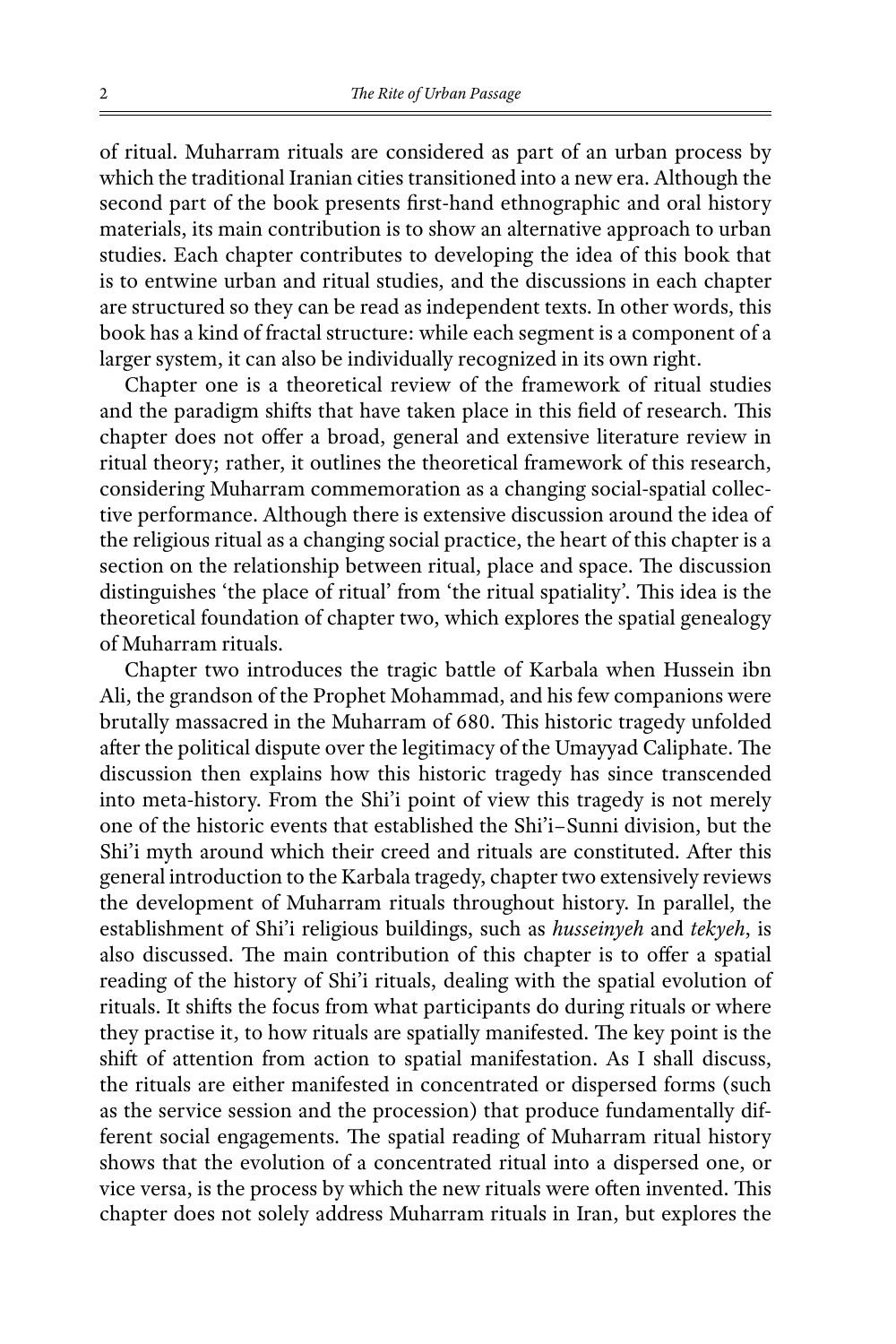of ritual. Muharram rituals are considered as part of an urban process by which the traditional Iranian cities transitioned into a new era. Although the second part of the book presents first-hand ethnographic and oral history materials, its main contribution is to show an alternative approach to urban studies. Each chapter contributes to developing the idea of this book that is to entwine urban and ritual studies, and the discussions in each chapter are structured so they can be read as independent texts. In other words, this book has a kind of fractal structure: while each segment is a component of a larger system, it can also be individually recognized in its own right.

Chapter one is a theoretical review of the framework of ritual studies and the paradigm shifts that have taken place in this field of research. This chapter does not offer a broad, general and extensive literature review in ritual theory; rather, it outlines the theoretical framework of this research, considering Muharram commemoration as a changing social-spatial collective performance. Although there is extensive discussion around the idea of the religious ritual as a changing social practice, the heart of this chapter is a section on the relationship between ritual, place and space. The discussion distinguishes 'the place of ritual' from 'the ritual spatiality'. This idea is the theoretical foundation of chapter two, which explores the spatial genealogy of Muharram rituals.

Chapter two introduces the tragic battle of Karbala when Hussein ibn Ali, the grandson of the Prophet Mohammad, and his few companions were brutally massacred in the Muharram of 680. This historic tragedy unfolded after the political dispute over the legitimacy of the Umayyad Caliphate. The discussion then explains how this historic tragedy has since transcended into meta-history. From the Shi'i point of view this tragedy is not merely one of the historic events that established the Shi'i–Sunni division, but the Shi'i myth around which their creed and rituals are constituted. After this general introduction to the Karbala tragedy, chapter two extensively reviews the development of Muharram rituals throughout history. In parallel, the establishment of Shi'i religious buildings, such as *husseinyeh* and *tekyeh*, is also discussed. The main contribution of this chapter is to offer a spatial reading of the history of Shi'i rituals, dealing with the spatial evolution of rituals. It shifts the focus from what participants do during rituals or where they practise it, to how rituals are spatially manifested. The key point is the shift of attention from action to spatial manifestation. As I shall discuss, the rituals are either manifested in concentrated or dispersed forms (such as the service session and the procession) that produce fundamentally different social engagements. The spatial reading of Muharram ritual history shows that the evolution of a concentrated ritual into a dispersed one, or vice versa, is the process by which the new rituals were often invented. This chapter does not solely address Muharram rituals in Iran, but explores the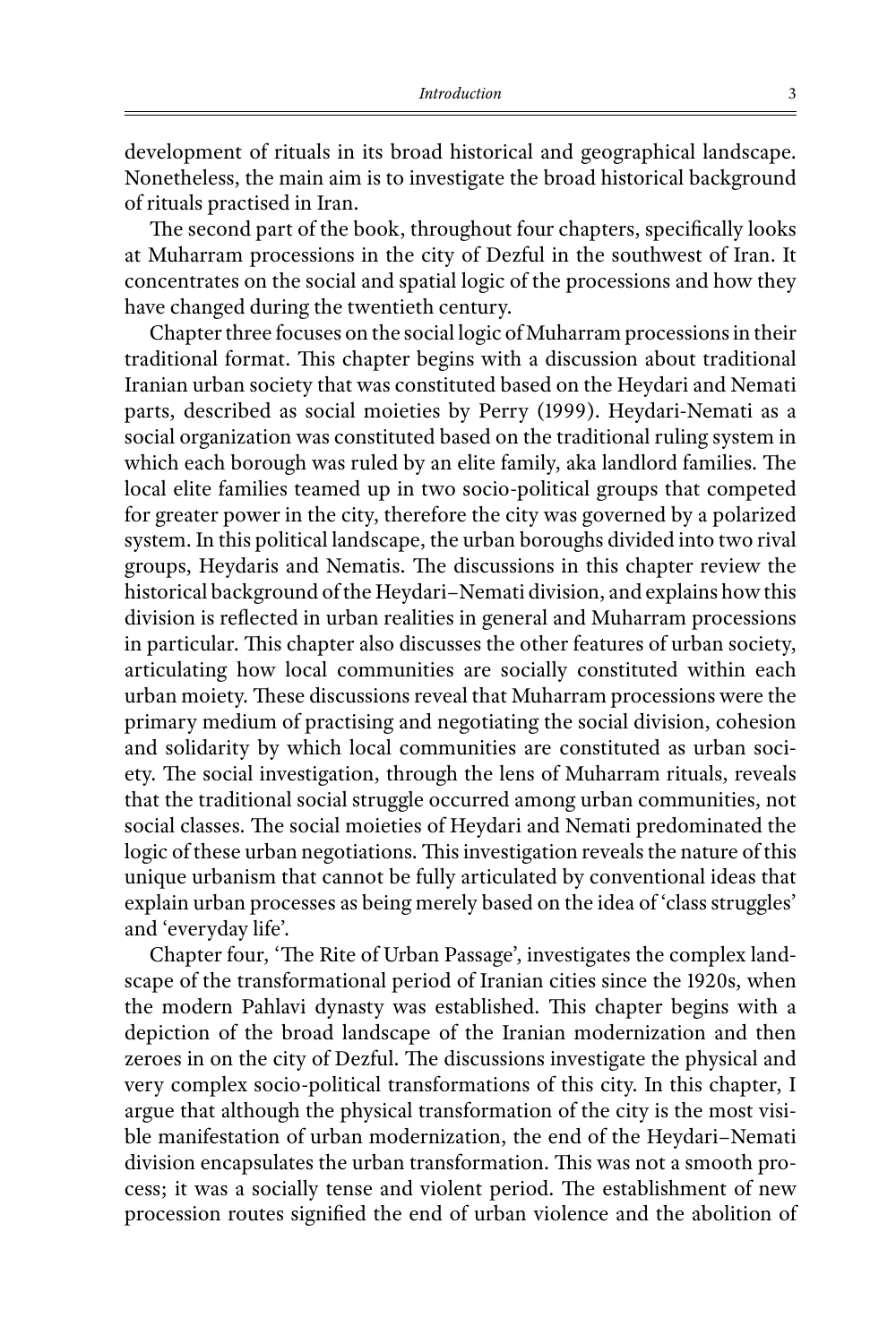development of rituals in its broad historical and geographical landscape. Nonetheless, the main aim is to investigate the broad historical background of rituals practised in Iran.

The second part of the book, throughout four chapters, specifically looks at Muharram processions in the city of Dezful in the southwest of Iran. It concentrates on the social and spatial logic of the processions and how they have changed during the twentieth century.

Chapter three focuses on the social logic of Muharram processions in their traditional format. This chapter begins with a discussion about traditional Iranian urban society that was constituted based on the Heydari and Nemati parts, described as social moieties by Perry (1999). Heydari-Nemati as a social organization was constituted based on the traditional ruling system in which each borough was ruled by an elite family, aka landlord families. The local elite families teamed up in two socio-political groups that competed for greater power in the city, therefore the city was governed by a polarized system. In this political landscape, the urban boroughs divided into two rival groups, Heydaris and Nematis. The discussions in this chapter review the historical background of the Heydari–Nemati division, and explains how this division is reflected in urban realities in general and Muharram processions in particular. This chapter also discusses the other features of urban society, articulating how local communities are socially constituted within each urban moiety. These discussions reveal that Muharram processions were the primary medium of practising and negotiating the social division, cohesion and solidarity by which local communities are constituted as urban society. The social investigation, through the lens of Muharram rituals, reveals that the traditional social struggle occurred among urban communities, not social classes. The social moieties of Heydari and Nemati predominated the logic of these urban negotiations. This investigation reveals the nature of this unique urbanism that cannot be fully articulated by conventional ideas that explain urban processes as being merely based on the idea of 'class struggles' and 'everyday life'.

Chapter four, 'The Rite of Urban Passage', investigates the complex landscape of the transformational period of Iranian cities since the 1920s, when the modern Pahlavi dynasty was established. This chapter begins with a depiction of the broad landscape of the Iranian modernization and then zeroes in on the city of Dezful. The discussions investigate the physical and very complex socio-political transformations of this city. In this chapter, I argue that although the physical transformation of the city is the most visible manifestation of urban modernization, the end of the Heydari–Nemati division encapsulates the urban transformation. This was not a smooth process; it was a socially tense and violent period. The establishment of new procession routes signified the end of urban violence and the abolition of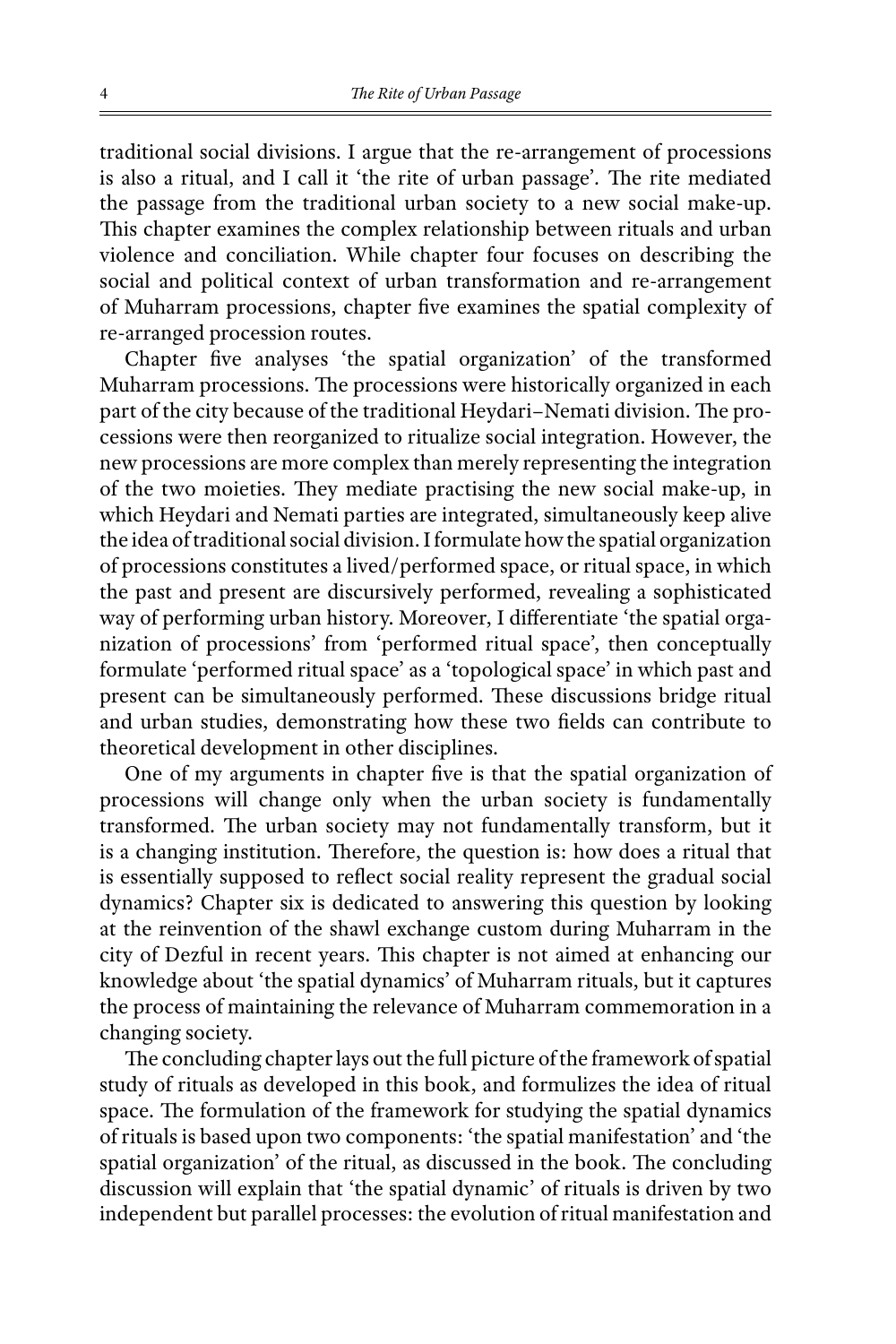traditional social divisions. I argue that the re-arrangement of processions is also a ritual, and I call it 'the rite of urban passage'*.* The rite mediated the passage from the traditional urban society to a new social make-up. This chapter examines the complex relationship between rituals and urban violence and conciliation. While chapter four focuses on describing the social and political context of urban transformation and re-arrangement of Muharram processions, chapter five examines the spatial complexity of re-arranged procession routes.

Chapter five analyses 'the spatial organization' of the transformed Muharram processions. The processions were historically organized in each part of the city because of the traditional Heydari–Nemati division. The processions were then reorganized to ritualize social integration. However, the new processions are more complex than merely representing the integration of the two moieties. They mediate practising the new social make-up, in which Heydari and Nemati parties are integrated, simultaneously keep alive the idea of traditional social division. I formulate how the spatial organization of processions constitutes a lived/performed space, or ritual space, in which the past and present are discursively performed, revealing a sophisticated way of performing urban history. Moreover, I differentiate 'the spatial organization of processions' from 'performed ritual space', then conceptually formulate 'performed ritual space' as a 'topological space' in which past and present can be simultaneously performed. These discussions bridge ritual and urban studies, demonstrating how these two fields can contribute to theoretical development in other disciplines.

One of my arguments in chapter five is that the spatial organization of processions will change only when the urban society is fundamentally transformed. The urban society may not fundamentally transform, but it is a changing institution. Therefore, the question is: how does a ritual that is essentially supposed to reflect social reality represent the gradual social dynamics? Chapter six is dedicated to answering this question by looking at the reinvention of the shawl exchange custom during Muharram in the city of Dezful in recent years. This chapter is not aimed at enhancing our knowledge about 'the spatial dynamics' of Muharram rituals, but it captures the process of maintaining the relevance of Muharram commemoration in a changing society.

The concluding chapter lays out the full picture of the framework of spatial study of rituals as developed in this book, and formulizes the idea of ritual space. The formulation of the framework for studying the spatial dynamics of rituals is based upon two components: 'the spatial manifestation' and 'the spatial organization' of the ritual, as discussed in the book. The concluding discussion will explain that 'the spatial dynamic' of rituals is driven by two independent but parallel processes: the evolution of ritual manifestation and